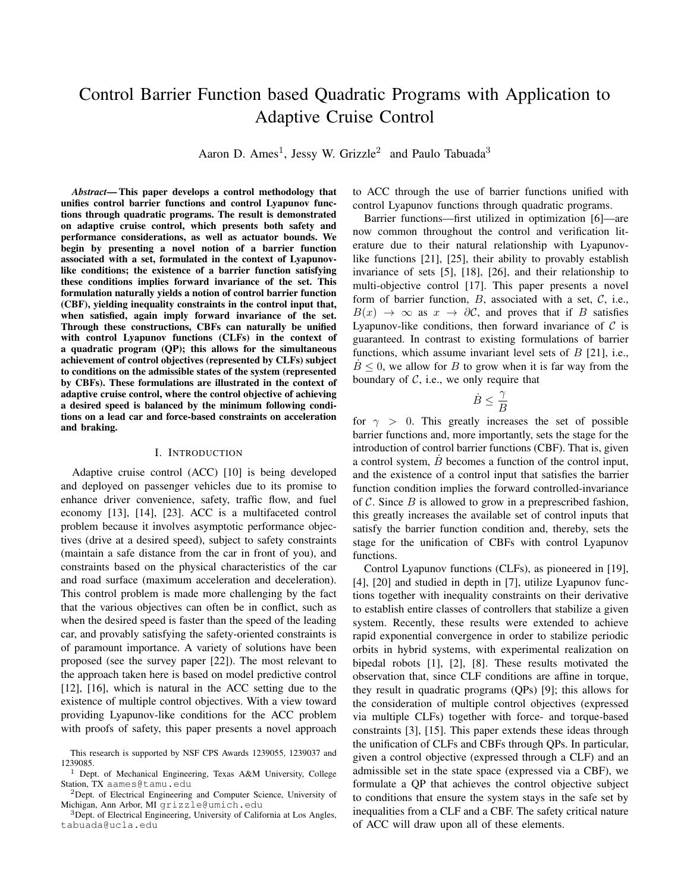# Control Barrier Function based Quadratic Programs with Application to Adaptive Cruise Control

Aaron D. Ames<sup>1</sup>, Jessy W. Grizzle<sup>2</sup> and Paulo Tabuada<sup>3</sup>

*Abstract*— This paper develops a control methodology that unifies control barrier functions and control Lyapunov functions through quadratic programs. The result is demonstrated on adaptive cruise control, which presents both safety and performance considerations, as well as actuator bounds. We begin by presenting a novel notion of a barrier function associated with a set, formulated in the context of Lyapunovlike conditions; the existence of a barrier function satisfying these conditions implies forward invariance of the set. This formulation naturally yields a notion of control barrier function (CBF), yielding inequality constraints in the control input that, when satisfied, again imply forward invariance of the set. Through these constructions, CBFs can naturally be unified with control Lyapunov functions (CLFs) in the context of a quadratic program (QP); this allows for the simultaneous achievement of control objectives (represented by CLFs) subject to conditions on the admissible states of the system (represented by CBFs). These formulations are illustrated in the context of adaptive cruise control, where the control objective of achieving a desired speed is balanced by the minimum following conditions on a lead car and force-based constraints on acceleration and braking.

#### I. INTRODUCTION

Adaptive cruise control (ACC) [10] is being developed and deployed on passenger vehicles due to its promise to enhance driver convenience, safety, traffic flow, and fuel economy [13], [14], [23]. ACC is a multifaceted control problem because it involves asymptotic performance objectives (drive at a desired speed), subject to safety constraints (maintain a safe distance from the car in front of you), and constraints based on the physical characteristics of the car and road surface (maximum acceleration and deceleration). This control problem is made more challenging by the fact that the various objectives can often be in conflict, such as when the desired speed is faster than the speed of the leading car, and provably satisfying the safety-oriented constraints is of paramount importance. A variety of solutions have been proposed (see the survey paper [22]). The most relevant to the approach taken here is based on model predictive control [12], [16], which is natural in the ACC setting due to the existence of multiple control objectives. With a view toward providing Lyapunov-like conditions for the ACC problem with proofs of safety, this paper presents a novel approach to ACC through the use of barrier functions unified with control Lyapunov functions through quadratic programs.

Barrier functions—first utilized in optimization [6]—are now common throughout the control and verification literature due to their natural relationship with Lyapunovlike functions [21], [25], their ability to provably establish invariance of sets [5], [18], [26], and their relationship to multi-objective control [17]. This paper presents a novel form of barrier function,  $B$ , associated with a set,  $C$ , i.e.,  $B(x) \rightarrow \infty$  as  $x \rightarrow \partial C$ , and proves that if B satisfies Lyapunov-like conditions, then forward invariance of  $\mathcal C$  is guaranteed. In contrast to existing formulations of barrier functions, which assume invariant level sets of  $B$  [21], i.e.,  $B \leq 0$ , we allow for B to grow when it is far way from the boundary of  $C$ , i.e., we only require that

> $\dot{B} \leq \frac{\gamma}{\tau}$ B

for  $\gamma > 0$ . This greatly increases the set of possible barrier functions and, more importantly, sets the stage for the introduction of control barrier functions (CBF). That is, given a control system, B˙ becomes a function of the control input, and the existence of a control input that satisfies the barrier function condition implies the forward controlled-invariance of  $\mathcal C$ . Since  $B$  is allowed to grow in a preprescribed fashion, this greatly increases the available set of control inputs that satisfy the barrier function condition and, thereby, sets the stage for the unification of CBFs with control Lyapunov functions.

Control Lyapunov functions (CLFs), as pioneered in [19], [4], [20] and studied in depth in [7], utilize Lyapunov functions together with inequality constraints on their derivative to establish entire classes of controllers that stabilize a given system. Recently, these results were extended to achieve rapid exponential convergence in order to stabilize periodic orbits in hybrid systems, with experimental realization on bipedal robots [1], [2], [8]. These results motivated the observation that, since CLF conditions are affine in torque, they result in quadratic programs (QPs) [9]; this allows for the consideration of multiple control objectives (expressed via multiple CLFs) together with force- and torque-based constraints [3], [15]. This paper extends these ideas through the unification of CLFs and CBFs through QPs. In particular, given a control objective (expressed through a CLF) and an admissible set in the state space (expressed via a CBF), we formulate a QP that achieves the control objective subject to conditions that ensure the system stays in the safe set by inequalities from a CLF and a CBF. The safety critical nature of ACC will draw upon all of these elements.

This research is supported by NSF CPS Awards 1239055, 1239037 and 1239085.

<sup>1</sup> Dept. of Mechanical Engineering, Texas A&M University, College Station, TX aames@tamu.edu

<sup>2</sup>Dept. of Electrical Engineering and Computer Science, University of Michigan, Ann Arbor, MI grizzle@umich.edu

<sup>&</sup>lt;sup>3</sup>Dept. of Electrical Engineering, University of California at Los Angles, tabuada@ucla.edu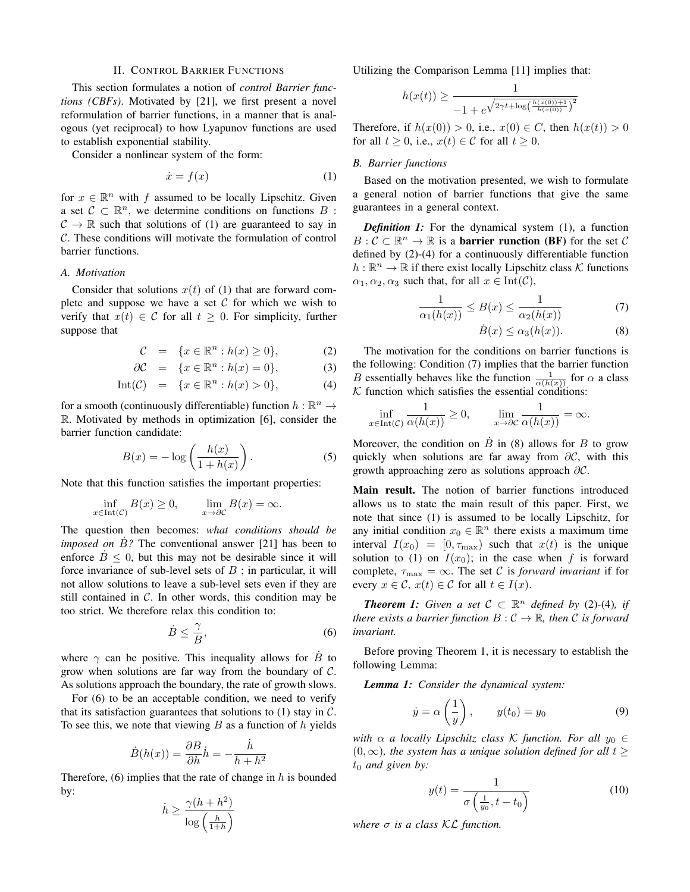#### II. CONTROL BARRIER FUNCTIONS

This section formulates a notion of *control Barrier functions (CBFs)*. Motivated by [21], we first present a novel reformulation of barrier functions, in a manner that is analogous (yet reciprocal) to how Lyapunov functions are used to establish exponential stability.

Consider a nonlinear system of the form:

$$
\dot{x} = f(x) \tag{1}
$$

for  $x \in \mathbb{R}^n$  with f assumed to be locally Lipschitz. Given a set  $C \subset \mathbb{R}^n$ , we determine conditions on functions B:  $C \rightarrow \mathbb{R}$  such that solutions of (1) are guaranteed to say in C. These conditions will motivate the formulation of control barrier functions.

# *A. Motivation*

Consider that solutions  $x(t)$  of (1) that are forward complete and suppose we have a set  $C$  for which we wish to verify that  $x(t) \in C$  for all  $t \geq 0$ . For simplicity, further suppose that

$$
\mathcal{C} = \{x \in \mathbb{R}^n : h(x) \ge 0\},\tag{2}
$$

$$
\partial \mathcal{C} = \{x \in \mathbb{R}^n : h(x) = 0\},\tag{3}
$$

$$
Int(\mathcal{C}) = \{x \in \mathbb{R}^n : h(x) > 0\},\tag{4}
$$

for a smooth (continuously differentiable) function  $h : \mathbb{R}^n \to$ R. Motivated by methods in optimization [6], consider the barrier function candidate:

$$
B(x) = -\log\left(\frac{h(x)}{1 + h(x)}\right). \tag{5}
$$

Note that this function satisfies the important properties:

$$
\inf_{x \in Int(\mathcal{C})} B(x) \ge 0, \qquad \lim_{x \to \partial \mathcal{C}} B(x) = \infty.
$$

The question then becomes: *what conditions should be imposed on B?* The conventional answer [21] has been to enforce  $\dot{B} \leq 0$ , but this may not be desirable since it will force invariance of sub-level sets of  $B$ ; in particular, it will not allow solutions to leave a sub-level sets even if they are still contained in  $C$ . In other words, this condition may be too strict. We therefore relax this condition to:

$$
\dot{B} \le \frac{\gamma}{B},\tag{6}
$$

where  $\gamma$  can be positive. This inequality allows for  $\dot{B}$  to grow when solutions are far way from the boundary of  $\mathcal{C}$ . As solutions approach the boundary, the rate of growth slows.

For (6) to be an acceptable condition, we need to verify that its satisfaction guarantees that solutions to  $(1)$  stay in  $\mathcal{C}$ . To see this, we note that viewing  $B$  as a function of  $h$  yields

$$
\dot{B}(h(x)) = \frac{\partial B}{\partial h}\dot{h} = -\frac{\dot{h}}{h + h^2}
$$

Therefore,  $(6)$  implies that the rate of change in h is bounded by:

$$
\dot{h} \ge \frac{\gamma (h+h^2)}{\log\left(\frac{h}{1+h}\right)}
$$

Utilizing the Comparison Lemma [11] implies that:

$$
h(x(t)) \ge \frac{1}{-1 + e^{\sqrt{2\gamma t + \log\left(\frac{h(x(0)) + 1}{h(x(0))}\right)^2}}}
$$

Therefore, if  $h(x(0)) > 0$ , i.e.,  $x(0) \in C$ , then  $h(x(t)) > 0$ for all  $t \geq 0$ , i.e.,  $x(t) \in \mathcal{C}$  for all  $t \geq 0$ .

#### *B. Barrier functions*

Based on the motivation presented, we wish to formulate a general notion of barrier functions that give the same guarantees in a general context.

*Definition 1:* For the dynamical system (1), a function  $B: \mathcal{C} \subset \mathbb{R}^n \to \mathbb{R}$  is a **barrier runction (BF)** for the set  $\mathcal{C}$ defined by (2)-(4) for a continuously differentiable function  $h : \mathbb{R}^n \to \mathbb{R}$  if there exist locally Lipschitz class K functions  $\alpha_1, \alpha_2, \alpha_3$  such that, for all  $x \in \text{Int}(\mathcal{C}),$ 

$$
\frac{1}{\alpha_1(h(x))} \le B(x) \le \frac{1}{\alpha_2(h(x))} \tag{7}
$$

$$
\dot{B}(x) \le \alpha_3(h(x)).\tag{8}
$$

The motivation for the conditions on barrier functions is the following: Condition (7) implies that the barrier function B essentially behaves like the function  $\frac{1}{\alpha(h(x))}$  for  $\alpha$  a class  $K$  function which satisfies the essential conditions:

$$
\inf_{x \in \text{Int}(\mathcal{C})} \frac{1}{\alpha(h(x))} \ge 0, \qquad \lim_{x \to \partial \mathcal{C}} \frac{1}{\alpha(h(x))} = \infty.
$$

Moreover, the condition on  $\dot{B}$  in (8) allows for B to grow quickly when solutions are far away from  $\partial \mathcal{C}$ , with this growth approaching zero as solutions approach ∂C.

Main result. The notion of barrier functions introduced allows us to state the main result of this paper. First, we note that since (1) is assumed to be locally Lipschitz, for any initial condition  $x_0 \in \mathbb{R}^n$  there exists a maximum time interval  $I(x_0) = [0, \tau_{\text{max}})$  such that  $x(t)$  is the unique solution to (1) on  $I(x_0)$ ; in the case when f is forward complete,  $\tau_{\text{max}} = \infty$ . The set C is *forward invariant* if for every  $x \in \mathcal{C}$ ,  $x(t) \in \mathcal{C}$  for all  $t \in I(x)$ .

*Theorem 1: Given a set*  $C \subset \mathbb{R}^n$  *defined by* (2)-(4)*, if there exists a barrier function*  $B: \mathcal{C} \to \mathbb{R}$ *, then*  $\mathcal{C}$  *is forward invariant.*

Before proving Theorem 1, it is necessary to establish the following Lemma:

*Lemma 1: Consider the dynamical system:*

$$
\dot{y} = \alpha \left(\frac{1}{y}\right), \qquad y(t_0) = y_0 \tag{9}
$$

*with*  $\alpha$  *a locally Lipschitz class* K *function. For all*  $y_0 \in$  $(0, \infty)$ *, the system has a unique solution defined for all*  $t \geq$  $t_0$  *and given by:* 

$$
y(t) = \frac{1}{\sigma\left(\frac{1}{y_0}, t - t_0\right)}\tag{10}
$$

*where*  $\sigma$  *is a class KL function.*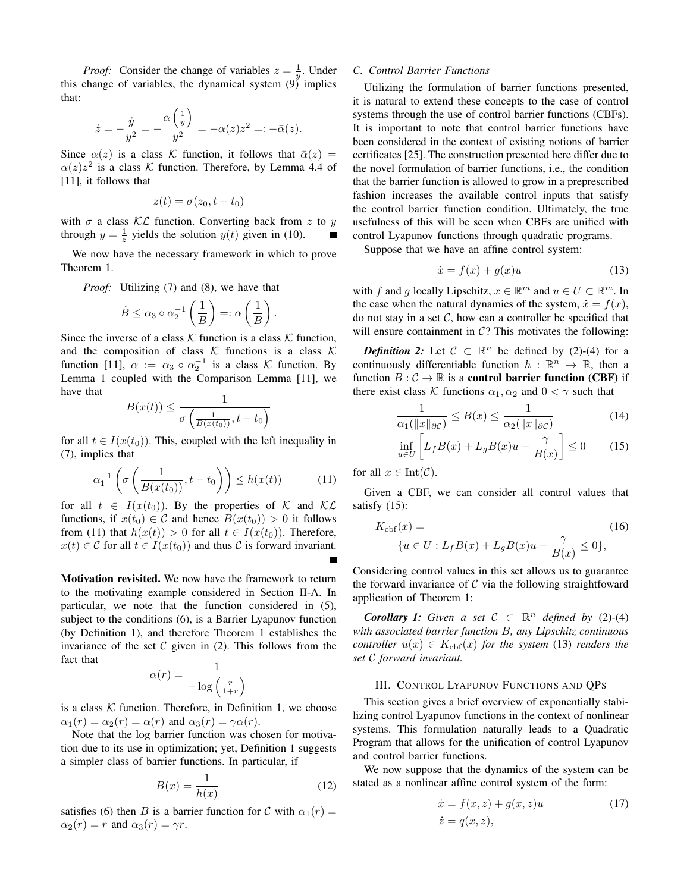*Proof:* Consider the change of variables  $z = \frac{1}{y}$ . Under this change of variables, the dynamical system  $(9)$  implies that:

$$
\dot{z} = -\frac{\dot{y}}{y^2} = -\frac{\alpha \left(\frac{1}{y}\right)}{y^2} = -\alpha(z)z^2 = -\bar{\alpha}(z).
$$

Since  $\alpha(z)$  is a class K function, it follows that  $\bar{\alpha}(z)$  =  $\alpha(z)z^2$  is a class K function. Therefore, by Lemma 4.4 of [11], it follows that

$$
z(t) = \sigma(z_0, t - t_0)
$$

with  $\sigma$  a class KL function. Converting back from z to y through  $y = \frac{1}{z}$  yields the solution  $y(t)$  given in (10).

We now have the necessary framework in which to prove Theorem 1.

*Proof:* Utilizing (7) and (8), we have that

$$
\dot{B} \le \alpha_3 \circ \alpha_2^{-1} \left( \frac{1}{B} \right) =: \alpha \left( \frac{1}{B} \right).
$$

Since the inverse of a class  $K$  function is a class  $K$  function, and the composition of class  $K$  functions is a class  $K$ function [11],  $\alpha := \alpha_3 \circ \alpha_2^{-1}$  is a class K function. By Lemma 1 coupled with the Comparison Lemma [11], we have that

$$
B(x(t)) \le \frac{1}{\sigma\left(\frac{1}{B(x(t_0))}, t - t_0\right)}
$$

for all  $t \in I(x(t_0))$ . This, coupled with the left inequality in (7), implies that

$$
\alpha_1^{-1}\left(\sigma\left(\frac{1}{B(x(t_0))}, t - t_0\right)\right) \le h(x(t))\tag{11}
$$

for all  $t \in I(x(t_0))$ . By the properties of K and KL functions, if  $x(t_0) \in \mathcal{C}$  and hence  $B(x(t_0)) > 0$  it follows from (11) that  $h(x(t)) > 0$  for all  $t \in I(x(t_0))$ . Therefore,  $x(t) \in \mathcal{C}$  for all  $t \in I(x(t_0))$  and thus  $\mathcal{C}$  is forward invariant.

Motivation revisited. We now have the framework to return to the motivating example considered in Section II-A. In particular, we note that the function considered in (5), subject to the conditions (6), is a Barrier Lyapunov function (by Definition 1), and therefore Theorem 1 establishes the invariance of the set  $C$  given in (2). This follows from the fact that

$$
\alpha(r) = \frac{1}{-\log\left(\frac{r}{1+r}\right)}
$$

is a class  $K$  function. Therefore, in Definition 1, we choose  $\alpha_1(r) = \alpha_2(r) = \alpha(r)$  and  $\alpha_3(r) = \gamma \alpha(r)$ .

Note that the log barrier function was chosen for motivation due to its use in optimization; yet, Definition 1 suggests a simpler class of barrier functions. In particular, if

$$
B(x) = \frac{1}{h(x)}\tag{12}
$$

satisfies (6) then B is a barrier function for C with  $\alpha_1(r)$  =  $\alpha_2(r) = r$  and  $\alpha_3(r) = \gamma r$ .

#### *C. Control Barrier Functions*

Utilizing the formulation of barrier functions presented, it is natural to extend these concepts to the case of control systems through the use of control barrier functions (CBFs). It is important to note that control barrier functions have been considered in the context of existing notions of barrier certificates [25]. The construction presented here differ due to the novel formulation of barrier functions, i.e., the condition that the barrier function is allowed to grow in a preprescribed fashion increases the available control inputs that satisfy the control barrier function condition. Ultimately, the true usefulness of this will be seen when CBFs are unified with control Lyapunov functions through quadratic programs.

Suppose that we have an affine control system:

$$
\dot{x} = f(x) + g(x)u \tag{13}
$$

with f and g locally Lipschitz,  $x \in \mathbb{R}^m$  and  $u \in U \subset \mathbb{R}^m$ . In the case when the natural dynamics of the system,  $\dot{x} = f(x)$ , do not stay in a set  $C$ , how can a controller be specified that will ensure containment in  $C$ ? This motivates the following:

*Definition 2:* Let  $C \subset \mathbb{R}^n$  be defined by (2)-(4) for a continuously differentiable function  $h : \mathbb{R}^n \to \mathbb{R}$ , then a function  $B: \mathcal{C} \to \mathbb{R}$  is a **control barrier function** (CBF) if there exist class K functions  $\alpha_1, \alpha_2$  and  $0 < \gamma$  such that

$$
\frac{1}{\alpha_1(\|x\|_{\partial C})} \le B(x) \le \frac{1}{\alpha_2(\|x\|_{\partial C})}
$$
(14)

$$
\inf_{u \in U} \left[ L_f B(x) + L_g B(x) u - \frac{\gamma}{B(x)} \right] \le 0 \tag{15}
$$

for all  $x \in \text{Int}(\mathcal{C})$ .

Given a CBF, we can consider all control values that satisfy (15):

$$
K_{\text{cbf}}(x) =
$$
  
\n
$$
\{u \in U : L_f B(x) + L_g B(x)u - \frac{\gamma}{B(x)} \le 0\},
$$
\n(16)

Considering control values in this set allows us to guarantee the forward invariance of  $\mathcal C$  via the following straightfoward application of Theorem 1:

*Corollary 1: Given a set*  $C \subset \mathbb{R}^n$  *defined by* (2)-(4) *with associated barrier function* B*, any Lipschitz continuous controller*  $u(x) \in K_{\text{cbf}}(x)$  *for the system* (13) *renders the set* C *forward invariant.*

# III. CONTROL LYAPUNOV FUNCTIONS AND QPS

This section gives a brief overview of exponentially stabilizing control Lyapunov functions in the context of nonlinear systems. This formulation naturally leads to a Quadratic Program that allows for the unification of control Lyapunov and control barrier functions.

We now suppose that the dynamics of the system can be stated as a nonlinear affine control system of the form:

$$
\begin{aligned} \n\dot{x} &= f(x, z) + g(x, z)u \\ \n\dot{z} &= q(x, z), \n\end{aligned} \tag{17}
$$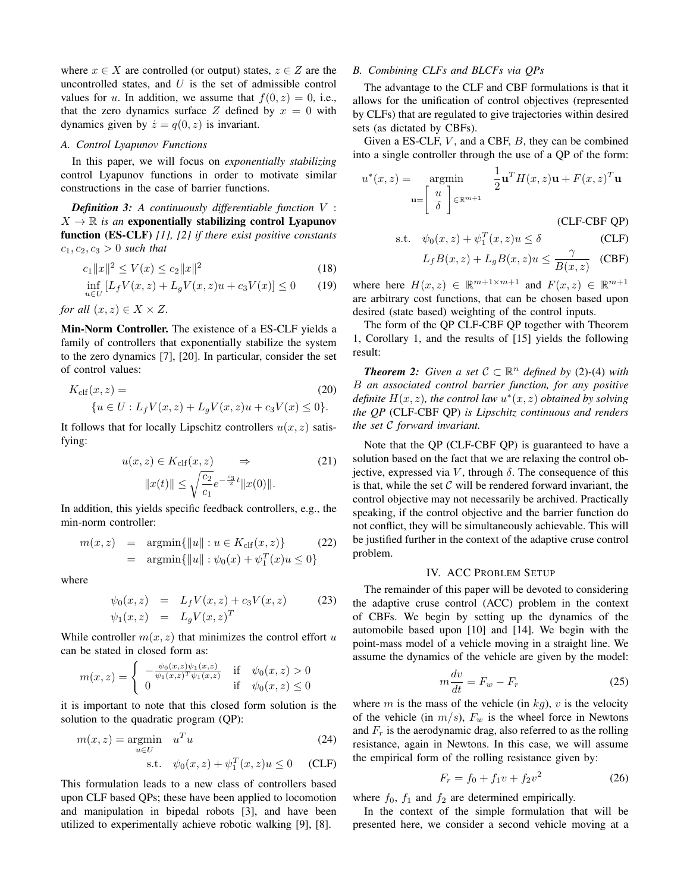where  $x \in X$  are controlled (or output) states,  $z \in Z$  are the uncontrolled states, and  $U$  is the set of admissible control values for u. In addition, we assume that  $f(0, z) = 0$ , i.e., that the zero dynamics surface Z defined by  $x = 0$  with dynamics given by  $\dot{z} = q(0, z)$  is invariant.

#### *A. Control Lyapunov Functions*

In this paper, we will focus on *exponentially stabilizing* control Lyapunov functions in order to motivate similar constructions in the case of barrier functions.

*Definition 3: A continuously differentiable function* V :  $X \to \mathbb{R}$  *is an* exponentially stabilizing control Lyapunov function (ES-CLF) *[1], [2] if there exist positive constants*  $c_1, c_2, c_3 > 0$  *such that* 

$$
c_1 \|x\|^2 \le V(x) \le c_2 \|x\|^2 \tag{18}
$$

$$
\inf_{u \in U} [L_f V(x, z) + L_g V(x, z)u + c_3 V(x)] \le 0 \tag{19}
$$

*for all*  $(x, z) \in X \times Z$ *.* 

Min-Norm Controller. The existence of a ES-CLF yields a family of controllers that exponentially stabilize the system to the zero dynamics [7], [20]. In particular, consider the set of control values:

$$
K_{\text{clf}}(x, z) =
$$
  
\n
$$
\{u \in U : L_f V(x, z) + L_g V(x, z)u + c_3 V(x) \le 0\}.
$$
\n(20)

It follows that for locally Lipschitz controllers  $u(x, z)$  satisfying:

$$
u(x, z) \in K_{\text{clf}}(x, z) \implies (21)
$$

$$
||x(t)|| \le \sqrt{\frac{c_2}{c_1}} e^{-\frac{c_3}{2}t} ||x(0)||.
$$

In addition, this yields specific feedback controllers, e.g., the min-norm controller:

$$
m(x, z) = \operatorname{argmin} \{ ||u|| : u \in K_{\text{clf}}(x, z) \}
$$
(22)  
=  $\operatorname{argmin} \{ ||u|| : \psi_0(x) + \psi_1^T(x)u \le 0 \}$ 

where

$$
\psi_0(x, z) = L_f V(x, z) + c_3 V(x, z)
$$
\n
$$
\psi_1(x, z) = L_g V(x, z)^T
$$
\n(23)

While controller  $m(x, z)$  that minimizes the control effort u can be stated in closed form as:

$$
m(x, z) = \begin{cases} -\frac{\psi_0(x, z)\psi_1(x, z)}{\psi_1(x, z)^T \psi_1(x, z)} & \text{if } \psi_0(x, z) > 0\\ 0 & \text{if } \psi_0(x, z) \le 0 \end{cases}
$$

it is important to note that this closed form solution is the solution to the quadratic program (QP):

$$
m(x, z) = \underset{u \in U}{\text{argmin}} \quad u^T u \tag{24}
$$

s.t. 
$$
\psi_0(x, z) + \psi_1^T(x, z)u \le 0
$$
 (CLF)

This formulation leads to a new class of controllers based upon CLF based QPs; these have been applied to locomotion and manipulation in bipedal robots [3], and have been utilized to experimentally achieve robotic walking [9], [8].

#### *B. Combining CLFs and BLCFs via QPs*

The advantage to the CLF and CBF formulations is that it allows for the unification of control objectives (represented by CLFs) that are regulated to give trajectories within desired sets (as dictated by CBFs).

Given a ES-CLF,  $V$ , and a CBF,  $B$ , they can be combined into a single controller through the use of a QP of the form:

$$
u^*(x, z) = \operatorname*{argmin}_{\mathbf{u} = \begin{bmatrix} u \\ \delta \end{bmatrix} \in \mathbb{R}^{m+1}} \frac{1}{2} \mathbf{u}^T H(x, z) \mathbf{u} + F(x, z)^T \mathbf{u}
$$
\n(CLF-CBF QP)

$$
\text{s.t.} \quad \psi_0(x, z) + \psi_1^T(x, z)u \le \delta \tag{CLF}
$$

$$
L_f B(x, z) + L_g B(x, z) u \le \frac{\gamma}{B(x, z)}
$$
 (CBF)

where here  $H(x, z) \in \mathbb{R}^{m+1 \times m+1}$  and  $F(x, z) \in \mathbb{R}^{m+1}$ are arbitrary cost functions, that can be chosen based upon desired (state based) weighting of the control inputs.

The form of the QP CLF-CBF QP together with Theorem 1, Corollary 1, and the results of [15] yields the following result:

*Theorem 2: Given a set*  $C \subset \mathbb{R}^n$  *defined by* (2)-(4) *with* B *an associated control barrier function, for any positive definite*  $H(x, z)$ *, the control law*  $u^*(x, z)$  *obtained by solving the QP* (CLF-CBF QP) *is Lipschitz continuous and renders the set* C *forward invariant.*

Note that the QP (CLF-CBF QP) is guaranteed to have a solution based on the fact that we are relaxing the control objective, expressed via V, through  $\delta$ . The consequence of this is that, while the set  $\mathcal C$  will be rendered forward invariant, the control objective may not necessarily be archived. Practically speaking, if the control objective and the barrier function do not conflict, they will be simultaneously achievable. This will be justified further in the context of the adaptive cruse control problem.

#### IV. ACC PROBLEM SETUP

The remainder of this paper will be devoted to considering the adaptive cruse control (ACC) problem in the context of CBFs. We begin by setting up the dynamics of the automobile based upon [10] and [14]. We begin with the point-mass model of a vehicle moving in a straight line. We assume the dynamics of the vehicle are given by the model:

$$
m\frac{dv}{dt} = F_w - F_r \tag{25}
$$

where m is the mass of the vehicle (in  $kg$ ), v is the velocity of the vehicle (in  $m/s$ ),  $F_w$  is the wheel force in Newtons and  $F_r$  is the aerodynamic drag, also referred to as the rolling resistance, again in Newtons. In this case, we will assume the empirical form of the rolling resistance given by:

$$
F_r = f_0 + f_1 v + f_2 v^2 \tag{26}
$$

where  $f_0$ ,  $f_1$  and  $f_2$  are determined empirically.

In the context of the simple formulation that will be presented here, we consider a second vehicle moving at a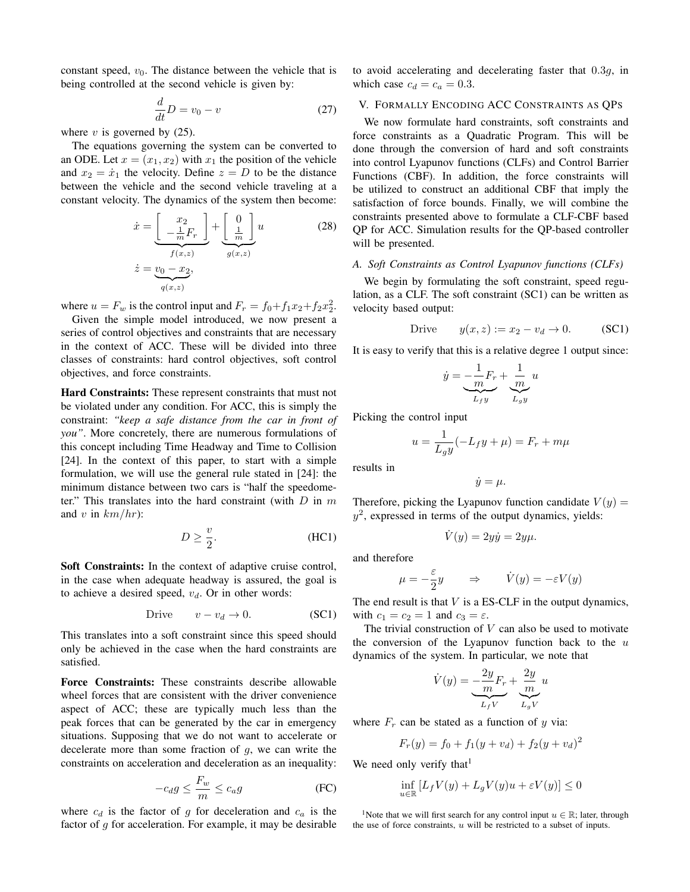constant speed,  $v_0$ . The distance between the vehicle that is being controlled at the second vehicle is given by:

$$
\frac{d}{dt}D = v_0 - v \tag{27}
$$

where  $v$  is governed by  $(25)$ .

The equations governing the system can be converted to an ODE. Let  $x = (x_1, x_2)$  with  $x_1$  the position of the vehicle and  $x_2 = \dot{x}_1$  the velocity. Define  $z = D$  to be the distance between the vehicle and the second vehicle traveling at a constant velocity. The dynamics of the system then become:

$$
\dot{x} = \underbrace{\begin{bmatrix} x_2 \\ -\frac{1}{m}F_r \end{bmatrix}}_{f(x,z)} + \underbrace{\begin{bmatrix} 0 \\ \frac{1}{m} \end{bmatrix}}_{g(x,z)} u
$$
\n
$$
\dot{z} = \underbrace{v_0 - x_2}_{q(x,z)},
$$
\n(28)

where  $u = F_w$  is the control input and  $F_r = f_0 + f_1 x_2 + f_2 x_2^2$ .

Given the simple model introduced, we now present a series of control objectives and constraints that are necessary in the context of ACC. These will be divided into three classes of constraints: hard control objectives, soft control objectives, and force constraints.

Hard Constraints: These represent constraints that must not be violated under any condition. For ACC, this is simply the constraint: *"keep a safe distance from the car in front of you"*. More concretely, there are numerous formulations of this concept including Time Headway and Time to Collision [24]. In the context of this paper, to start with a simple formulation, we will use the general rule stated in [24]: the minimum distance between two cars is "half the speedometer." This translates into the hard constraint (with  $D$  in  $m$ and v in  $km/hr$ ):

$$
D \ge \frac{v}{2}.\tag{HC1}
$$

Soft Constraints: In the context of adaptive cruise control, in the case when adequate headway is assured, the goal is to achieve a desired speed,  $v_d$ . Or in other words:

$$
Drive \t v - v_d \to 0. \t (SC1)
$$

This translates into a soft constraint since this speed should only be achieved in the case when the hard constraints are satisfied.

Force Constraints: These constraints describe allowable wheel forces that are consistent with the driver convenience aspect of ACC; these are typically much less than the peak forces that can be generated by the car in emergency situations. Supposing that we do not want to accelerate or decelerate more than some fraction of  $g$ , we can write the constraints on acceleration and deceleration as an inequality:

$$
-c_d g \le \frac{F_w}{m} \le c_a g \tag{FC}
$$

where  $c_d$  is the factor of g for deceleration and  $c_a$  is the factor of  $q$  for acceleration. For example, it may be desirable to avoid accelerating and decelerating faster that 0.3g, in which case  $c_d = c_a = 0.3$ .

# V. FORMALLY ENCODING ACC CONSTRAINTS AS QPS

We now formulate hard constraints, soft constraints and force constraints as a Quadratic Program. This will be done through the conversion of hard and soft constraints into control Lyapunov functions (CLFs) and Control Barrier Functions (CBF). In addition, the force constraints will be utilized to construct an additional CBF that imply the satisfaction of force bounds. Finally, we will combine the constraints presented above to formulate a CLF-CBF based QP for ACC. Simulation results for the QP-based controller will be presented.

#### *A. Soft Constraints as Control Lyapunov functions (CLFs)*

We begin by formulating the soft constraint, speed regulation, as a CLF. The soft constraint (SC1) can be written as velocity based output:

$$
Dirive \t y(x, z) := x_2 - v_d \to 0. \t (SC1)
$$

It is easy to verify that this is a relative degree 1 output since:

$$
\dot{y} = \underbrace{-\frac{1}{m}F_r}_{L_f y} + \underbrace{\frac{1}{m}}_{L_g y} u
$$

Picking the control input

$$
u = \frac{1}{L_g y}(-L_f y + \mu) = F_r + m\mu
$$

results in

$$
\dot{y} = \mu.
$$

Therefore, picking the Lyapunov function candidate  $V(y)$  =  $y^2$ , expressed in terms of the output dynamics, yields:

$$
\dot{V}(y) = 2y\dot{y} = 2y\mu.
$$

and therefore

$$
\mu = -\frac{\varepsilon}{2}y \qquad \Rightarrow \qquad \dot{V}(y) = -\varepsilon V(y)
$$

The end result is that  $V$  is a ES-CLF in the output dynamics, with  $c_1 = c_2 = 1$  and  $c_3 = \varepsilon$ .

The trivial construction of  $V$  can also be used to motivate the conversion of the Lyapunov function back to the  $u$ dynamics of the system. In particular, we note that

$$
\dot{V}(y) = \underbrace{-\frac{2y}{m}F_r}_{L_fV} + \underbrace{\frac{2y}{m}}_{L_gV}u
$$

where  $F_r$  can be stated as a function of y via:

$$
F_r(y) = f_0 + f_1(y + v_d) + f_2(y + v_d)^2
$$

We need only verify that  $l$ 

$$
\inf_{u \in \mathbb{R}} \left[ L_f V(y) + L_g V(y) u + \varepsilon V(y) \right] \le 0
$$

<sup>1</sup>Note that we will first search for any control input  $u \in \mathbb{R}$ ; later, through the use of force constraints,  $u$  will be restricted to a subset of inputs.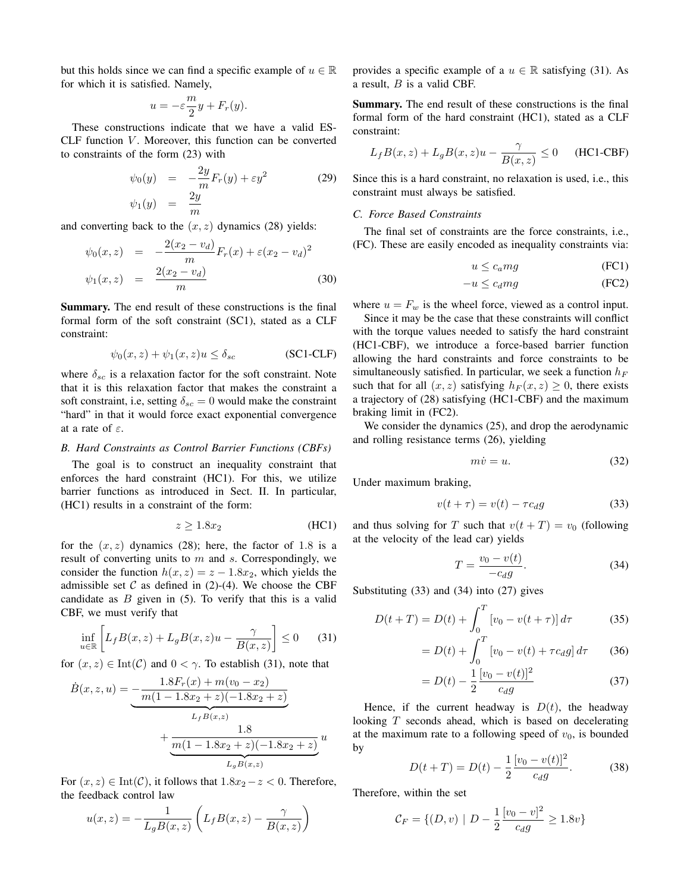but this holds since we can find a specific example of  $u \in \mathbb{R}$ for which it is satisfied. Namely,

$$
u = -\varepsilon \frac{m}{2}y + F_r(y).
$$

These constructions indicate that we have a valid ES- $CLF$  function  $V$ . Moreover, this function can be converted to constraints of the form (23) with

$$
\psi_0(y) = -\frac{2y}{m} F_r(y) + \varepsilon y^2 \tag{29}
$$
  

$$
\psi_1(y) = \frac{2y}{m}
$$

and converting back to the  $(x, z)$  dynamics (28) yields:

$$
\psi_0(x, z) = -\frac{2(x_2 - v_d)}{m} F_r(x) + \varepsilon (x_2 - v_d)^2
$$
  

$$
\psi_1(x, z) = \frac{2(x_2 - v_d)}{m}
$$
 (30)

Summary. The end result of these constructions is the final formal form of the soft constraint (SC1), stated as a CLF constraint:

$$
\psi_0(x, z) + \psi_1(x, z)u \le \delta_{sc} \tag{SC1-CLF}
$$

where  $\delta_{sc}$  is a relaxation factor for the soft constraint. Note that it is this relaxation factor that makes the constraint a soft constraint, i.e, setting  $\delta_{sc} = 0$  would make the constraint "hard" in that it would force exact exponential convergence at a rate of  $\varepsilon$ .

# *B. Hard Constraints as Control Barrier Functions (CBFs)*

The goal is to construct an inequality constraint that enforces the hard constraint (HC1). For this, we utilize barrier functions as introduced in Sect. II. In particular, (HC1) results in a constraint of the form:

$$
z \ge 1.8x_2 \tag{HC1}
$$

for the  $(x, z)$  dynamics (28); here, the factor of 1.8 is a result of converting units to  $m$  and  $s$ . Correspondingly, we consider the function  $h(x, z) = z - 1.8x_2$ , which yields the admissible set  $C$  as defined in (2)-(4). We choose the CBF candidate as  $B$  given in  $(5)$ . To verify that this is a valid CBF, we must verify that

$$
\inf_{u \in \mathbb{R}} \left[ L_f B(x, z) + L_g B(x, z) u - \frac{\gamma}{B(x, z)} \right] \le 0 \qquad (31)
$$

for  $(x, z) \in Int(\mathcal{C})$  and  $0 < \gamma$ . To establish (31), note that

$$
\dot{B}(x, z, u) = \underbrace{-\frac{1.8F_r(x) + m(v_0 - x_2)}{m(1 - 1.8x_2 + z)(-1.8x_2 + z)}}_{L_f B(x, z)} + \underbrace{\frac{1.8}{m(1 - 1.8x_2 + z)(-1.8x_2 + z)}}_{L_g B(x, z)} u
$$

For  $(x, z) \in Int(\mathcal{C})$ , it follows that  $1.8x_2 - z < 0$ . Therefore, the feedback control law

$$
u(x,z) = -\frac{1}{L_g B(x,z)} \left( L_f B(x,z) - \frac{\gamma}{B(x,z)} \right)
$$

provides a specific example of a  $u \in \mathbb{R}$  satisfying (31). As a result,  $B$  is a valid CBF.

Summary. The end result of these constructions is the final formal form of the hard constraint (HC1), stated as a CLF constraint:

$$
L_f B(x, z) + L_g B(x, z)u - \frac{\gamma}{B(x, z)} \le 0 \quad \text{(HCl-CBF)}
$$

Since this is a hard constraint, no relaxation is used, i.e., this constraint must always be satisfied.

# *C. Force Based Constraints*

The final set of constraints are the force constraints, i.e., (FC). These are easily encoded as inequality constraints via:

$$
u \le c_a mg \tag{FC1}
$$

$$
-u \le c_d mg \tag{FC2}
$$

where  $u = F_w$  is the wheel force, viewed as a control input.

Since it may be the case that these constraints will conflict with the torque values needed to satisfy the hard constraint (HC1-CBF), we introduce a force-based barrier function allowing the hard constraints and force constraints to be simultaneously satisfied. In particular, we seek a function  $h_F$ such that for all  $(x, z)$  satisfying  $h_F (x, z) \geq 0$ , there exists a trajectory of (28) satisfying (HC1-CBF) and the maximum braking limit in (FC2).

We consider the dynamics  $(25)$ , and drop the aerodynamic and rolling resistance terms (26), yielding

$$
m\dot{v} = u.\t\t(32)
$$

Under maximum braking,

$$
v(t+\tau) = v(t) - \tau c_d g \tag{33}
$$

and thus solving for T such that  $v(t + T) = v_0$  (following at the velocity of the lead car) yields

$$
T = \frac{v_0 - v(t)}{-c_d g}.
$$
\n
$$
(34)
$$

Substituting (33) and (34) into (27) gives

$$
D(t+T) = D(t) + \int_0^T \left[ v_0 - v(t+\tau) \right] d\tau \tag{35}
$$

$$
= D(t) + \int_0^T \left[ v_0 - v(t) + \tau c_d g \right] d\tau \tag{36}
$$

$$
=D(t) - \frac{1}{2} \frac{[v_0 - v(t)]^2}{c_d g} \tag{37}
$$

Hence, if the current headway is  $D(t)$ , the headway looking T seconds ahead, which is based on decelerating at the maximum rate to a following speed of  $v_0$ , is bounded by

$$
D(t+T) = D(t) - \frac{1}{2} \frac{[v_0 - v(t)]^2}{c_d g}.
$$
 (38)

Therefore, within the set

$$
\mathcal{C}_F = \{ (D, v) \mid D - \frac{1}{2} \frac{[v_0 - v]^2}{c_d g} \ge 1.8v \}
$$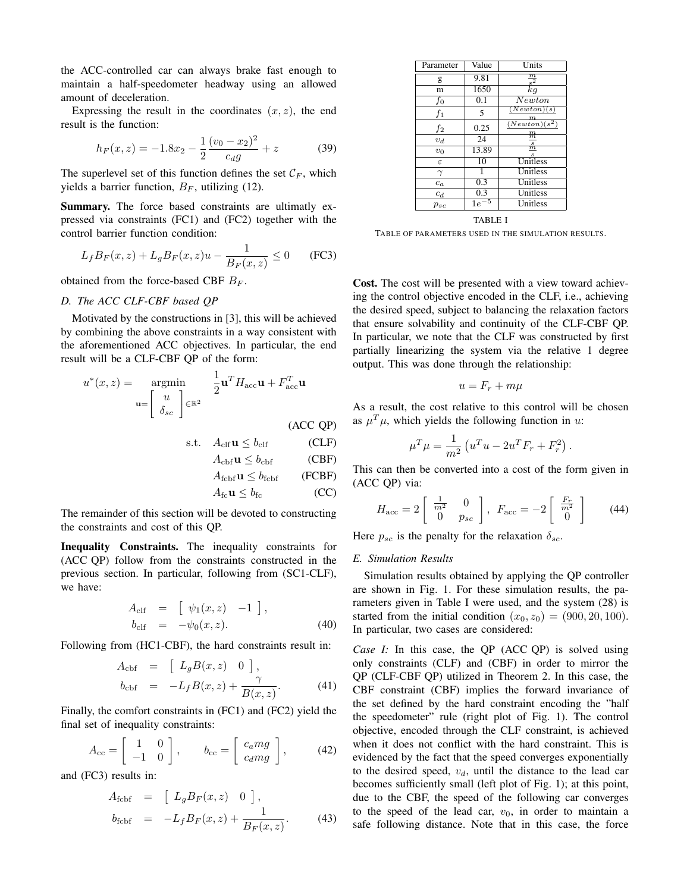the ACC-controlled car can always brake fast enough to maintain a half-speedometer headway using an allowed amount of deceleration.

Expressing the result in the coordinates  $(x, z)$ , the end result is the function:

$$
h_F(x,z) = -1.8x_2 - \frac{1}{2} \frac{(v_0 - x_2)^2}{c_d g} + z \tag{39}
$$

The superlevel set of this function defines the set  $\mathcal{C}_F$ , which yields a barrier function,  $B_F$ , utilizing (12).

Summary. The force based constraints are ultimatly expressed via constraints (FC1) and (FC2) together with the control barrier function condition:

$$
L_f B_F(x, z) + L_g B_F(x, z)u - \frac{1}{B_F(x, z)} \le 0
$$
 (FC3)

obtained from the force-based CBF  $B_F$ .

# *D. The ACC CLF-CBF based QP*

Motivated by the constructions in [3], this will be achieved by combining the above constraints in a way consistent with the aforementioned ACC objectives. In particular, the end result will be a CLF-CBF QP of the form:

$$
u^*(x, z) = \operatorname*{argmin}_{\mathbf{u} = \begin{bmatrix} u \\ \delta_{sc} \end{bmatrix} \in \mathbb{R}^2} \frac{1}{2} \mathbf{u}^T H_{\text{acc}} \mathbf{u} + F_{\text{acc}}^T \mathbf{u}
$$
\n(ACC QP)

$$
s.t. \quad A_{\text{clf}} \mathbf{u} \le b_{\text{clf}} \tag{CLF}
$$

$$
A_{\rm cbf} \mathbf{u} \le b_{\rm cbf} \qquad \text{(CBF)}
$$

$$
A_{\text{fcbf}} \mathbf{u} \le b_{\text{fcbf}} \qquad \text{(FCBF)}
$$
  

$$
A_{\text{fc}} \mathbf{u} \le b_{\text{fc}} \qquad \text{(CC)}
$$

The remainder of this section will be devoted to constructing the constraints and cost of this QP.

Inequality Constraints. The inequality constraints for (ACC QP) follow from the constraints constructed in the previous section. In particular, following from (SC1-CLF), we have:

$$
A_{\text{clf}} = [\psi_1(x, z) -1], b_{\text{clf}} = -\psi_0(x, z).
$$
 (40)

Following from (HC1-CBF), the hard constraints result in:

$$
A_{\text{cbf}} = \begin{bmatrix} L_g B(x, z) & 0 \end{bmatrix},
$$
  
\n
$$
b_{\text{cbf}} = -L_f B(x, z) + \frac{\gamma}{B(x, z)}.
$$
 (41)

Finally, the comfort constraints in (FC1) and (FC2) yield the final set of inequality constraints:

$$
A_{\rm cc} = \left[ \begin{array}{cc} 1 & 0 \\ -1 & 0 \end{array} \right], \qquad b_{\rm cc} = \left[ \begin{array}{c} c_a mg \\ c_d mg \end{array} \right], \tag{42}
$$

and (FC3) results in:

$$
A_{\text{fcbf}} = \begin{bmatrix} L_g B_F(x, z) & 0 \end{bmatrix},
$$
  
\n
$$
b_{\text{fcbf}} = -L_f B_F(x, z) + \frac{1}{B_F(x, z)}.
$$
 (43)

| Parameter     | Value | Units                      |
|---------------|-------|----------------------------|
| g             | 9.81  | $\frac{\frac{m}{s^2}}{kg}$ |
| m             | 1650  |                            |
| $f_{0}$       | 0.1   | $\overline{Newton}$        |
| $f_1$         | 5     | (Newton)(s)<br>$_{m}$      |
| $f_2$         | 0.25  | $(Newton)(s^2)$            |
| $v_d$         | 24    | $_{m}^{\rm m}$             |
| $v_0$         | 13.89 | $\frac{s}{m}$              |
| $\varepsilon$ | 10    | Unitless                   |
|               | 1     | Unitless                   |
| $c_a$         | 0.3   | Unitless                   |
| $c_d$         | 0.3   | Unitless                   |
| $p_{sc}$      | 1e    | Unitless                   |

TABLE I

TABLE OF PARAMETERS USED IN THE SIMULATION RESULTS.

Cost. The cost will be presented with a view toward achieving the control objective encoded in the CLF, i.e., achieving the desired speed, subject to balancing the relaxation factors that ensure solvability and continuity of the CLF-CBF QP. In particular, we note that the CLF was constructed by first partially linearizing the system via the relative 1 degree output. This was done through the relationship:

$$
u = F_r + m\mu
$$

As a result, the cost relative to this control will be chosen as  $\mu^T \mu$ , which yields the following function in u:

$$
\mu^{T} \mu = \frac{1}{m^{2}} \left( u^{T} u - 2u^{T} F_{r} + F_{r}^{2} \right).
$$

This can then be converted into a cost of the form given in (ACC QP) via:

$$
H_{\rm acc} = 2 \left[ \begin{array}{cc} \frac{1}{m^2} & 0\\ 0 & p_{sc} \end{array} \right], \ F_{\rm acc} = -2 \left[ \begin{array}{c} \frac{F_r}{m^2} \\ 0 \end{array} \right] \tag{44}
$$

Here  $p_{sc}$  is the penalty for the relaxation  $\delta_{sc}$ .

#### *E. Simulation Results*

Simulation results obtained by applying the QP controller are shown in Fig. 1. For these simulation results, the parameters given in Table I were used, and the system (28) is started from the initial condition  $(x_0, z_0) = (900, 20, 100)$ . In particular, two cases are considered:

*Case I:* In this case, the QP (ACC QP) is solved using only constraints (CLF) and (CBF) in order to mirror the QP (CLF-CBF QP) utilized in Theorem 2. In this case, the CBF constraint (CBF) implies the forward invariance of the set defined by the hard constraint encoding the "half the speedometer" rule (right plot of Fig. 1). The control objective, encoded through the CLF constraint, is achieved when it does not conflict with the hard constraint. This is evidenced by the fact that the speed converges exponentially to the desired speed,  $v_d$ , until the distance to the lead car becomes sufficiently small (left plot of Fig. 1); at this point, due to the CBF, the speed of the following car converges to the speed of the lead car,  $v_0$ , in order to maintain a safe following distance. Note that in this case, the force